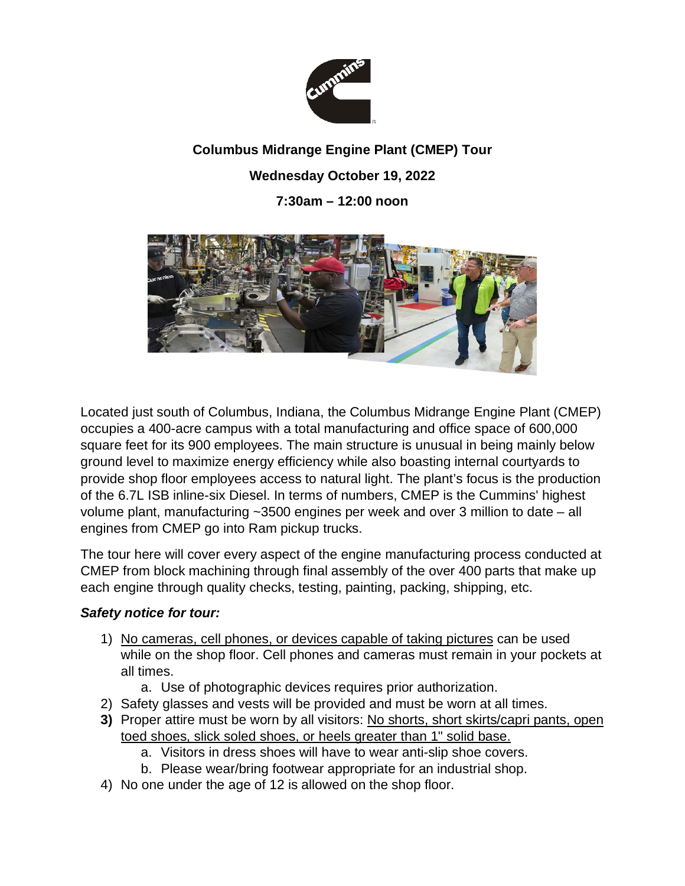

## **Columbus Midrange Engine Plant (CMEP) Tour Wednesday October 19, 2022 7:30am – 12:00 noon**



Located just south of Columbus, Indiana, the Columbus Midrange Engine Plant (CMEP) occupies a 400-acre campus with a total manufacturing and office space of 600,000 square feet for its 900 employees. The main structure is unusual in being mainly below ground level to maximize energy efficiency while also boasting internal courtyards to provide shop floor employees access to natural light. The plant's focus is the production of the 6.7L ISB inline-six Diesel. In terms of numbers, CMEP is the Cummins' highest volume plant, manufacturing ~3500 engines per week and over 3 million to date – all engines from CMEP go into Ram pickup trucks.

The tour here will cover every aspect of the engine manufacturing process conducted at CMEP from block machining through final assembly of the over 400 parts that make up each engine through quality checks, testing, painting, packing, shipping, etc.

## *Safety notice for tour:*

- 1) No cameras, cell phones, or devices capable of taking pictures can be used while on the shop floor. Cell phones and cameras must remain in your pockets at all times.
	- a. Use of photographic devices requires prior authorization.
- 2) Safety glasses and vests will be provided and must be worn at all times.
- **3)** Proper attire must be worn by all visitors: No shorts, short skirts/capri pants, open toed shoes, slick soled shoes, or heels greater than 1" solid base.
	- a. Visitors in dress shoes will have to wear anti-slip shoe covers.
	- b. Please wear/bring footwear appropriate for an industrial shop.
- 4) No one under the age of 12 is allowed on the shop floor.